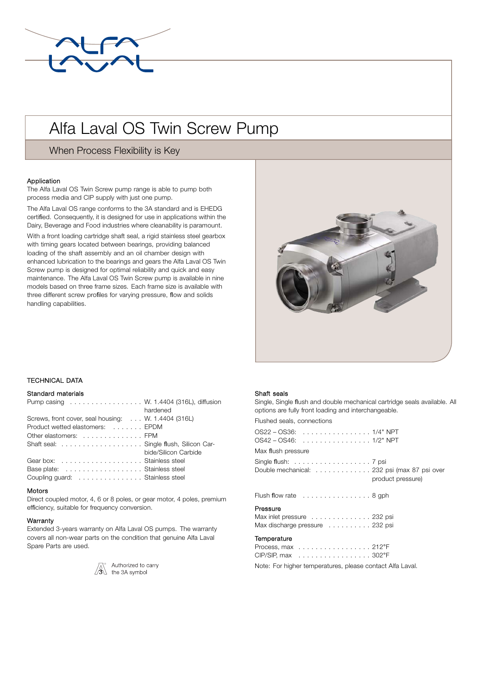

# Alfa Laval OS Twin Screw Pump

When Process Flexibility is Key

## Application

The Alfa Laval OS Twin Screw pump range is able to pump both process media and CIP supply with just one pump.

The Alfa Laval OS range conforms to the 3A standard and is EHEDG certified. Consequently, it is designed for use in applications within the Dairy, Beverage and Food industries where cleanability is paramount. With a front loading cartridge shaft seal, a rigid stainless steel gearbox with timing gears located between bearings, providing balanced loading of the shaft assembly and an oil chamber design with enhanced lubrication to the bearings and gears the Alfa Laval OS Twin Screw pump is designed for optimal reliability and quick and easy maintenance. The Alfa Laval OS Twin Screw pump is available in nine models based on three frame sizes. Each frame size is available with three different screw profiles for varying pressure, flow and solids handling capabilities.



# . TECHNICAL DATA

# Standard materials

| Pump casing W. 1.4404 (316L), diffusion             |                      |
|-----------------------------------------------------|----------------------|
|                                                     | hardened             |
| Screws, front cover, seal housing: W. 1.4404 (316L) |                      |
| Product wetted elastomers: EPDM                     |                      |
| Other elastomers: FPM                               |                      |
| Shaft seal: Single flush, Silicon Car-              |                      |
|                                                     | bide/Silicon Carbide |
| Gearbox:  Stainless steel                           |                      |
| Base plate: Stainless steel                         |                      |
| Coupling guard: Stainless steel                     |                      |

## Motors

Direct coupled motor, 4, 6 or 8 poles, or gear motor, 4 poles, premium efficiency, suitable for frequency conversion.

## Warranty

Extended 3-years warranty on Alfa Laval OS pumps. The warranty covers all non-wear parts on the condition that genuine Alfa Laval Spare Parts are used.



 $\sqrt{\Delta}$  Authorized to carry<br> $\sqrt{3}$  the 3A symbol

#### Shaft seals

Single, Single flush and double mechanical cartridge seals available. All options are fully front loading and interchangeable.

Flushed seals, connections

| Max flush pressure                                                                                                                  |
|-------------------------------------------------------------------------------------------------------------------------------------|
| Single flush: $\ldots \ldots \ldots \ldots \ldots \ldots$ 7 psi<br>Double mechanical: 232 psi (max 87 psi over<br>product pressure) |
| Flush flow rate $\dots\dots\dots\dots\dots$ . 8 gph                                                                                 |
| Pressure<br>Max inlet pressure 232 psi<br>Max discharge pressure 232 psi                                                            |
| Temperature<br>Process, max 212°F<br>CIP/SIP, max 302°F                                                                             |
| Note: For higher temperatures, please contact Alfa Laval.                                                                           |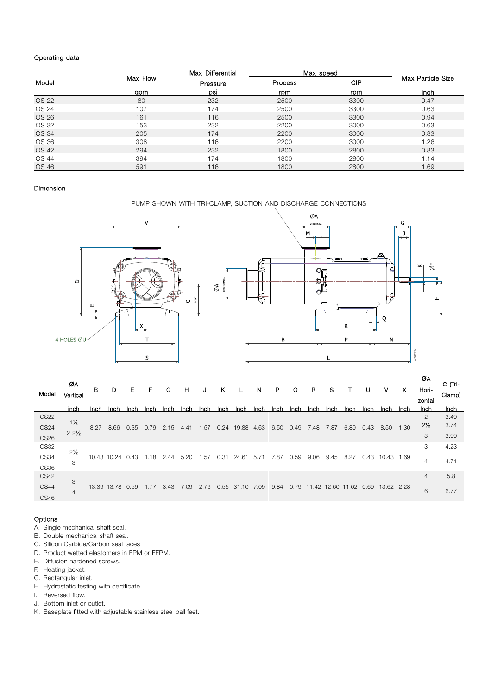# Operating data

|       |          | Max Differential | Max speed |            |                   |  |  |
|-------|----------|------------------|-----------|------------|-------------------|--|--|
| Model | Max Flow | Pressure         | Process   | <b>CIP</b> | Max Particle Size |  |  |
|       | gpm      | psi              | rpm       | rpm        | inch              |  |  |
| OS 22 | 80       | 232              | 2500      | 3300       | 0.47              |  |  |
| OS 24 | 107      | 174              | 2500      | 3300       | 0.63              |  |  |
| OS 26 | 161      | 116              | 2500      | 3300       | 0.94              |  |  |
| OS 32 | 153      | 232              | 2200      | 3000       | 0.63              |  |  |
| OS 34 | 205      | 174              | 2200      | 3000       | 0.83              |  |  |
| OS 36 | 308      | 116              | 2200      | 3000       | 1.26              |  |  |
| OS 42 | 294      | 232              | 1800      | 2800       | 0.83              |  |  |
| OS 44 | 394      | 174              | 1800      | 2800       | 1.14              |  |  |
| OS 46 | 591      | 116              | 1800      | 2800       | .69               |  |  |

## Dimension

PUMP SHOWN WITH TRI-CLAMP, SUCTION AND DISCHARGE CONNECTIONS



|             | ØА              |      |                  |      |      |      |      |      |      |           |      |      |      |      |       |       |      |            |      | ØΑ             | C (Tri- |
|-------------|-----------------|------|------------------|------|------|------|------|------|------|-----------|------|------|------|------|-------|-------|------|------------|------|----------------|---------|
| Model       |                 | в    | D                | Е    | F    | G    | H    | J    | κ    |           | N    | P    | Q    | R    | s     |       | U    | ۷          | x    | Hori-          |         |
|             | Vertical        |      |                  |      |      |      |      |      |      |           |      |      |      |      |       |       |      |            |      | zontal         | Clamp)  |
|             | inch            | Inch | Inch             | Inch | Inch | Inch | Inch | Inch | Inch | Inch      | Inch | Inch | Inch | Inch | Inch  | Inch  | Inch | Inch       | Inch | Inch           | Inch    |
| <b>OS22</b> |                 |      |                  |      |      |      |      |      |      |           |      |      |      |      |       |       |      |            |      | $\mathfrak{D}$ | 3.49    |
| <b>OS24</b> | $1\frac{1}{2}$  | 8.27 | 8.66             | 0.35 | 0.79 | 2.15 | 4.41 | 1.57 | 0.24 | 19.88     | 4.63 | 6.50 | 0.49 | 7.48 | 7.87  | 6.89  | 0.43 | 8.50       | 1.30 | $2\frac{1}{2}$ | 3.74    |
| <b>OS26</b> | $22\frac{1}{2}$ |      |                  |      |      |      |      |      |      |           |      |      |      |      |       |       |      |            |      | 3              | 3.99    |
| <b>OS32</b> |                 |      |                  |      |      |      |      |      |      |           |      |      |      |      |       |       |      |            |      | 3              | 4.23    |
| OS34        | $2\frac{1}{2}$  |      | 10.43 10.24 0.43 |      | 1.18 | 2.44 | 5.20 | .57  | 0.31 | 24.61     | 5.71 | 87.  | 0.59 | 9.06 | 9.45  | 8.27  | 0.43 | 10.43      | 1.69 |                |         |
|             | 3               |      |                  |      |      |      |      |      |      |           |      |      |      |      |       |       |      |            |      | 4              | 4.71    |
| OS36        |                 |      |                  |      |      |      |      |      |      |           |      |      |      |      |       |       |      |            |      |                |         |
| <b>OS42</b> | 3               |      |                  |      |      |      |      |      |      |           |      |      |      |      |       |       |      |            |      | $\overline{4}$ | 5.8     |
| <b>OS44</b> | $\overline{4}$  |      | 13.39 13.78 0.59 |      | .77  | 3.43 | 7.09 | 2.76 | 0.55 | 31<br>.10 | 7.09 | 9.84 | 0.79 | .42  | 12.60 | 11.02 | 0.69 | 13.62 2.28 |      | 6              | 6.77    |
| OS46        |                 |      |                  |      |      |      |      |      |      |           |      |      |      |      |       |       |      |            |      |                |         |

# Options

- A. Single mechanical shaft seal.
- B. Double mechanical shaft seal.
- C. Silicon Carbide/Carbon seal faces
- D. Product wetted elastomers in FPM or FFPM.
- E. Diffusion hardened screws.
- F. Heating jacket.
- G. Rectangular inlet.
- H. Hydrostatic testing with certificate.
- I. Reversed flow.
- J. Bottom inlet or outlet.
- K. Baseplate fitted with adjustable stainless steel ball feet.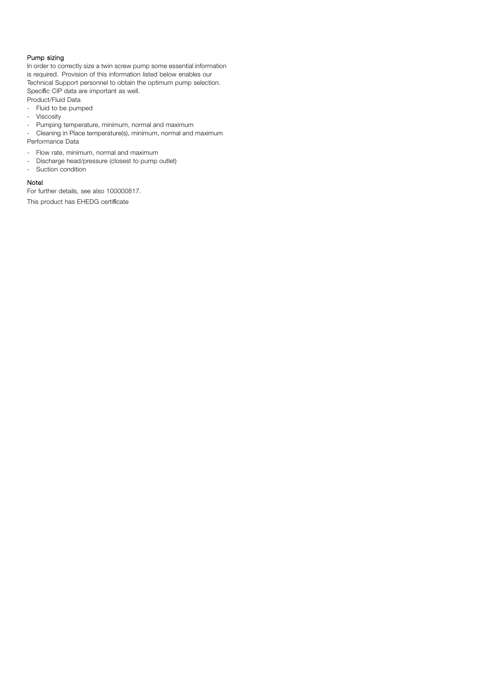# Pump sizing

In order to correctly size a twin screw pump some essential information is required. Provision of this information listed below enables our Technical Support personnel to obtain the optimum pump selection. Specific CIP data are important as well.

- Product/Fluid Data
- Fluid to be pumped
- Viscosity
- Pumping temperature, minimum, normal and maximum
- Cleaning in Place temperature(s), minimum, normal and maximum Performance Data
- Flow rate, minimum, normal and maximum
- Discharge head/pressure (closest to pump outlet)
- Suction condition

## Note!

For further details, see also 100000817.

This product has EHEDG certificate